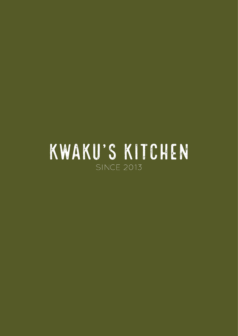# KWAKU'S KITCHEN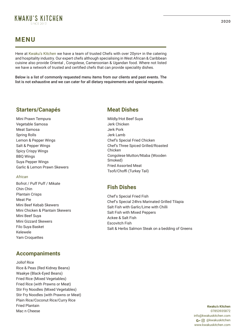

# **MENU**

Here at Kwaku's Kitchen we have a team of trusted Chefs with over 20yrs+ in the catering and hospitality industry. Our expert chefs although specialising in West African & Caribbean cuisine also provide Oriental , Congolese, Cameroonian & Ugandan food. Where not listed we have a network of trusted and certified chefs that can provide speciality dishes.

Below is a list of commonly requested menu items from our clients and past events. The list is not exhaustive and we can cater for all dietary requirements and special requests.

### **Starters/Canapés**

Mini Prawn Tempura Vegetable Samosa Meat Samosa Spring Rolls Lemon & Pepper Wings Salt & Pepper Wings Spicy Crispy Wings BBQ Wings Suya Pepper Wings Garlic & Lemon Prawn Skewers

### *African*

Bofrot / Puff Puff / Mikate Chin Chin Plantain Crisps Meat Pie Mini Beef Kebab Skewers Mini Chicken & Plantain Skewers Mini Beef Suya Mini Gizzard Skewers Filo Suya Basket Kelewele Yam Croquettes

### **Accompaniments**

Jollof Rice Rice & Peas (Red Kidney Beans) Waakye (Black-Eyed Beans) Fried Rice (Mixed Vegetables) Fried Rice (with Prawns or Meat) Stir Fry Noodles (Mixed Vegetables) Stir Fry Noodles (with Prawns or Meat) Plain Rice/Coconut Rice/Curry Rice Fried Plantain Mac n Cheese

### **Meat Dishes**

Mildly/Hot Beef Suya Jerk Chicken Jerk Pork Jerk Lamb Chef's Special Fried Chicken Chef's Three Spiced Grilled/Roasted Chicken Congolese Mutton/Ntaba (Wooden Smoked) Fried Assorted Meat Tsofi/Choffi (Turkey Tail)

### **Fish Dishes**

Chef's Special Fried Fish Chef's Special 24hrs Marinated Grilled Tilapia Salt Fish with Garlic/Lime with Chilli Salt Fish with Mixed Peppers Ackee & Salt Fish Escovitch Fish Salt & Herbs Salmon Steak on a bedding of Greens

> **Kwaku's Kitchen** 07853935872 info@kwakuskitchen.com G+ @ @kwakuskitchen www.kwakuskitchen.com